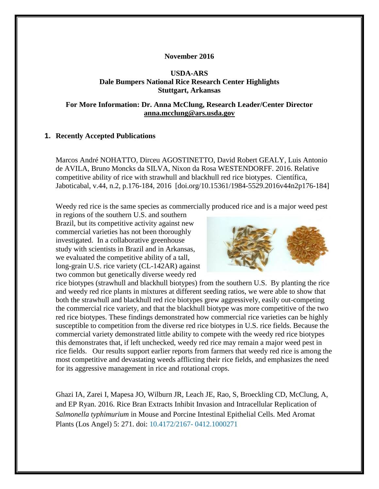#### **November 2016**

## **USDA-ARS Dale Bumpers National Rice Research Center Highlights Stuttgart, Arkansas**

### **For More Information: Dr. Anna McClung, Research Leader/Center Director [anna.mcclung@ars.usda.gov](mailto:anna.mcclung@ars.usda.gov)**

### **1. Recently Accepted Publications**

Marcos André NOHATTO, Dirceu AGOSTINETTO, David Robert GEALY, Luis Antonio de AVILA, Bruno Moncks da SILVA, Nixon da Rosa WESTENDORFF. 2016. Relative competitive ability of rice with strawhull and blackhull red rice biotypes. Científica, Jaboticabal, v.44, n.2, p.176-184, 2016 [doi.org/10.15361/1984-5529.2016v44n2p176-184]

Weedy red rice is the same species as commercially produced rice and is a major weed pest

in regions of the southern U.S. and southern Brazil, but its competitive activity against new commercial varieties has not been thoroughly investigated. In a collaborative greenhouse study with scientists in Brazil and in Arkansas, we evaluated the competitive ability of a tall, long-grain U.S. rice variety (CL-142AR) against two common but genetically diverse weedy red



rice biotypes (strawhull and blackhull biotypes) from the southern U.S. By planting the rice and weedy red rice plants in mixtures at different seeding ratios, we were able to show that both the strawhull and blackhull red rice biotypes grew aggressively, easily out-competing the commercial rice variety, and that the blackhull biotype was more competitive of the two red rice biotypes. These findings demonstrated how commercial rice varieties can be highly susceptible to competition from the diverse red rice biotypes in U.S. rice fields. Because the commercial variety demonstrated little ability to compete with the weedy red rice biotypes this demonstrates that, if left unchecked, weedy red rice may remain a major weed pest in rice fields. Our results support earlier reports from farmers that weedy red rice is among the most competitive and devastating weeds afflicting their rice fields, and emphasizes the need for its aggressive management in rice and rotational crops.

Ghazi IA, Zarei I, Mapesa JO, Wilburn JR, Leach JE, Rao, S, Broeckling CD, McClung, A, and EP Ryan. 2016. Rice Bran Extracts Inhibit Invasion and Intracellular Replication of *Salmonella typhimurium* in Mouse and Porcine Intestinal Epithelial Cells. Med Aromat Plants (Los Angel) 5: 271. doi: 10.4172/2167- 0412.1000271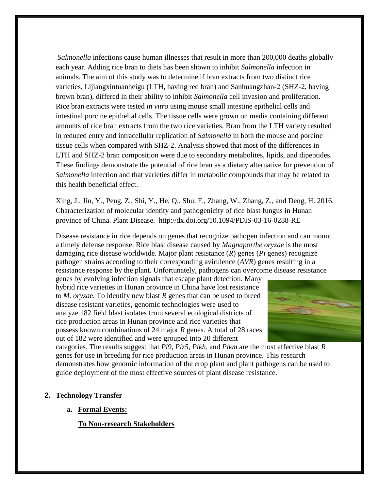*Salmonella* infections cause human illnesses that result in more than 200,000 deaths globally each year. Adding rice bran to diets has been shown to inhibit *Salmonella* infection in animals. The aim of this study was to determine if bran extracts from two distinct rice varieties, Lijiangxintuanheigu (LTH, having red bran) and Sanhuangzhan-2 (SHZ-2, having brown bran), differed in their ability to inhibit *Salmonella* cell invasion and proliferation. Rice bran extracts were tested *in vitro* using mouse small intestine epithelial cells and intestinal porcine epithelial cells. The tissue cells were grown on media containing different amounts of rice bran extracts from the two rice varieties. Bran from the LTH variety resulted in reduced entry and intracellular replication of *Salmonella* in both the mouse and porcine tissue cells when compared with SHZ-2. Analysis showed that most of the differences in LTH and SHZ-2 bran composition were due to secondary metabolites, lipids, and dipeptides. These findings demonstrate the potential of rice bran as a dietary alternative for prevention of *Salmonella* infection and that varieties differ in metabolic compounds that may be related to this health beneficial effect.

Xing, J., Jin, Y., Peng, Z., Shi, Y., He, Q., Shu, F., Zhang, W., Zhang, Z., and Deng, H. 2016. Characterization of molecular identity and pathogenicity of rice blast fungus in Hunan province of China. Plant Disease. http://dx.doi.org/10.1094/PDIS-03-16-0288-RE

Disease resistance in rice depends on genes that recognize pathogen infection and can mount a timely defense response. Rice blast disease caused by *Magnaporthe oryzae* is the most damaging rice disease worldwide. Major plant resistance (*R*) genes (*Pi* genes) recognize pathogen strains according to their corresponding avirulence (*AVR*) genes resulting in a resistance response by the plant. Unfortunately, pathogens can overcome disease resistance

genes by evolving infection signals that escape plant detection. Many hybrid rice varieties in Hunan province in China have lost resistance to *M. oryzae*. To identify new blast *R* genes that can be used to breed disease resistant varieties, genomic technologies were used to analyze 182 field blast isolates from several ecological districts of rice production areas in Hunan province and rice varieties that possess known combinations of 24 major *R* genes. A total of 28 races out of 182 were identified and were grouped into 20 different



categories. The results suggest that *Pi9, Piz5, Pikh*, and *Pikm* are the most effective blast *R* genes for use in breeding for rice production areas in Hunan province. This research demonstrates how genomic information of the crop plant and plant pathogens can be used to guide deployment of the most effective sources of plant disease resistance.

# **2. Technology Transfer**

**a. Formal Events:**

**To Non-research Stakeholders**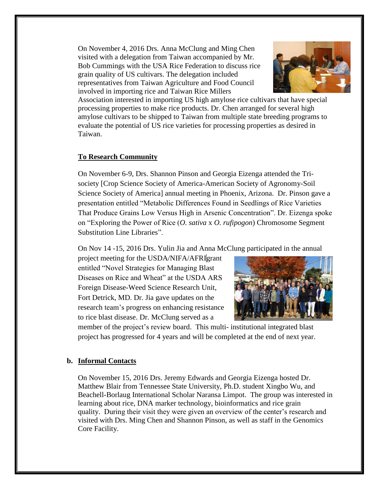On November 4, 2016 Drs. Anna McClung and Ming Chen visited with a delegation from Taiwan accompanied by Mr. Bob Cummings with the USA Rice Federation to discuss rice grain quality of US cultivars. The delegation included representatives from Taiwan Agriculture and Food Council involved in importing rice and Taiwan Rice Millers



Association interested in importing US high amylose rice cultivars that have special processing properties to make rice products. Dr. Chen arranged for several high amylose cultivars to be shipped to Taiwan from multiple state breeding programs to evaluate the potential of US rice varieties for processing properties as desired in Taiwan.

## **To Research Community**

On November 6-9, Drs. Shannon Pinson and Georgia Eizenga attended the Trisociety [Crop Science Society of America-American Society of Agronomy-Soil Science Society of America] annual meeting in Phoenix, Arizona. Dr. Pinson gave a presentation entitled "Metabolic Differences Found in Seedlings of Rice Varieties That Produce Grains Low Versus High in Arsenic Concentration". Dr. Eizenga spoke on "Exploring the Power of Rice (*O. sativa* x *O. rufipogon*) Chromosome Segment Substitution Line Libraries".

On Nov 14 -15, 2016 Drs. Yulin Jia and Anna McClung participated in the annual

project meeting for the USDA/NIFA/AFRI grant entitled "Novel Strategies for Managing Blast Diseases on Rice and Wheat" at the USDA ARS Foreign Disease-Weed Science Research Unit, Fort Detrick, MD. Dr. Jia gave updates on the research team's progress on enhancing resistance to rice blast disease. Dr. McClung served as a



member of the project's review board. This multi- institutional integrated blast project has progressed for 4 years and will be completed at the end of next year.

# **b. Informal Contacts**

On November 15, 2016 Drs. Jeremy Edwards and Georgia Eizenga hosted Dr. Matthew Blair from Tennessee State University, Ph.D. student Xingbo Wu, and Beachell-Borlaug International Scholar Naransa Limpot. The group was interested in learning about rice, DNA marker technology, bioinformatics and rice grain quality. During their visit they were given an overview of the center's research and visited with Drs. Ming Chen and Shannon Pinson, as well as staff in the Genomics Core Facility.